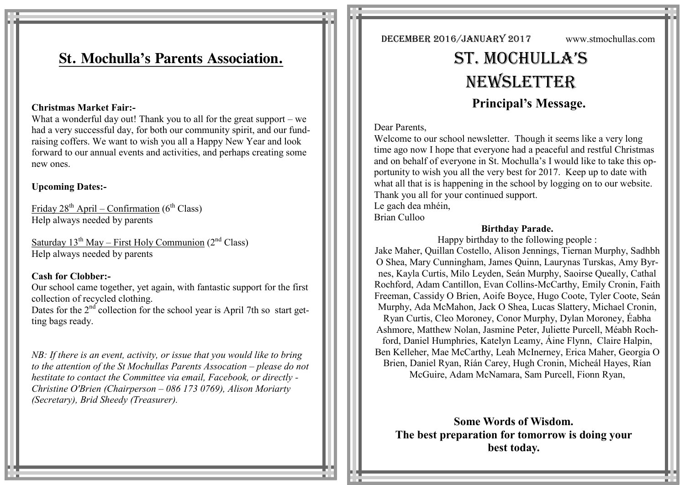# **St. Mochulla's Parents Association.**

#### **Christmas Market Fair:-**

What a wonderful day out! Thank you to all for the great support  $-$  we had a very successful day, for both our community spirit, and our fundraising coffers. We want to wish you all a Happy New Year and look forward to our annual events and activities, and perhaps creating some new ones.

## **Upcoming Dates:-**

Friday  $28^{th}$  April – Confirmation ( $6^{th}$  Class) Help always needed by parents

Saturday  $13^{th}$  May – First Holy Communion ( $2^{nd}$  Class) Help always needed by parents

### **Cash for Clobber:-**

Our school came together, yet again, with fantastic support for the first collection of recycled clothing.

Dates for the  $2<sup>nd</sup>$  collection for the school year is April 7th so start getting bags ready.

*NB: If there is an event, activity, or issue that you would like to bring to the attention of the St Mochullas Parents Assocation – please do not hestitate to contact the Committee via email, Facebook, or directly - Christine O'Brien (Chairperson – 086 173 0769), Alison Moriarty (Secretary), Brid Sheedy (Treasurer).*

December 2016/January 2017 www.stmochullas.com

# St. Mochulla'S **NEWSLETTER Principal's Message.**

#### Dear Parents,

Welcome to our school newsletter. Though it seems like a very long time ago now I hope that everyone had a peaceful and restful Christmas and on behalf of everyone in St. Mochulla's I would like to take this opportunity to wish you all the very best for 2017. Keep up to date with what all that is is happening in the school by logging on to our website. Thank you all for your continued support.

Le gach dea mhéin, Brian Culloo

# **Birthday Parade.**

Happy birthday to the following people : Jake Maher, Quillan Costello, Alison Jennings, Tiernan Murphy, Sadhbh O Shea, Mary Cunningham, James Quinn, Laurynas Turskas, Amy Byrnes, Kayla Curtis, Milo Leyden, Seán Murphy, Saoirse Queally, Cathal Rochford, Adam Cantillon, Evan Collins-McCarthy, Emily Cronin, Faith Freeman, Cassidy O Brien, Aoife Boyce, Hugo Coote, Tyler Coote, Seán Murphy, Ada McMahon, Jack O Shea, Lucas Slattery, Michael Cronin, Ryan Curtis, Cleo Moroney, Conor Murphy, Dylan Moroney, Éabha Ashmore, Matthew Nolan, Jasmine Peter, Juliette Purcell, Méabh Rochford, Daniel Humphries, Katelyn Leamy, Áine Flynn, Claire Halpin, Ben Kelleher, Mae McCarthy, Leah McInerney, Erica Maher, Georgia O Brien, Daniel Ryan, Ríán Carey, Hugh Cronin, Micheál Hayes, Rían McGuire, Adam McNamara, Sam Purcell, Fionn Ryan,

**Some Words of Wisdom. The best preparation for tomorrow is doing your best today.**